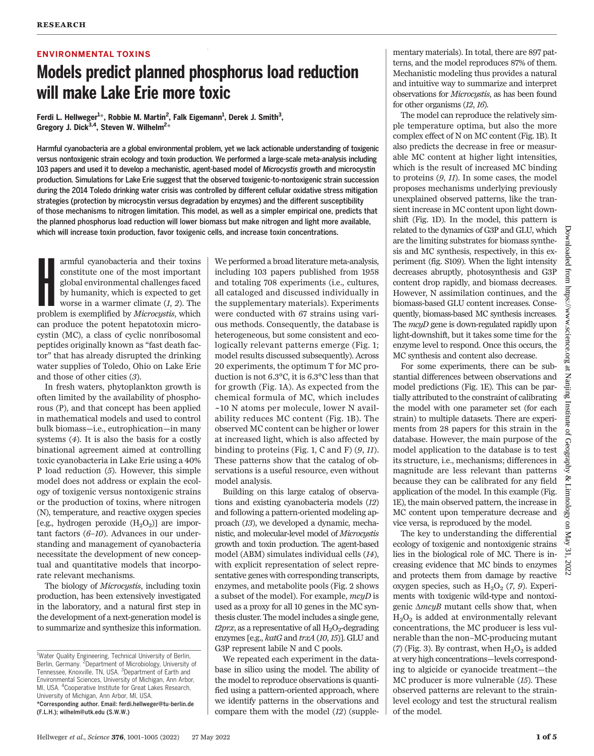#### ENVIRONMENTAL TOXINS

## Models predict planned phosphorus load reduction will make Lake Erie more toxic

Ferdi L. Hellweger<sup>1\*</sup>, Robbie M. Martin<sup>2</sup>, Falk Eigemann<sup>1</sup>, Derek J. Smith<sup>3</sup>, Gregory J. Dick $^{3,4}$ , Steven W. Wilhelm $^{2\ast}$ 

Harmful cyanobacteria are a global environmental problem, yet we lack actionable understanding of toxigenic versus nontoxigenic strain ecology and toxin production. We performed a large-scale meta-analysis including 103 papers and used it to develop a mechanistic, agent-based model of Microcystis growth and microcystin production. Simulations for Lake Erie suggest that the observed toxigenic-to-nontoxigenic strain succession during the 2014 Toledo drinking water crisis was controlled by different cellular oxidative stress mitigation strategies (protection by microcystin versus degradation by enzymes) and the different susceptibility of those mechanisms to nitrogen limitation. This model, as well as a simpler empirical one, predicts that the planned phosphorus load reduction will lower biomass but make nitrogen and light more available, which will increase toxin production, favor toxigenic cells, and increase toxin concentrations.

armful cyanobacteria and their toxins<br>constitute one of the most important<br>global environmental challenges faced<br>by humanity, which is expected to get<br>worse in a warmer climate (1, 2). The<br>problem is exemplified by *Microc* armful cyanobacteria and their toxins constitute one of the most important global environmental challenges faced by humanity, which is expected to get worse in a warmer climate  $(1, 2)$ . The can produce the potent hepatotoxin microcystin (MC), a class of cyclic nonribosomal peptides originally known as "fast death factor" that has already disrupted the drinking water supplies of Toledo, Ohio on Lake Erie and those of other cities (3).

In fresh waters, phytoplankton growth is often limited by the availability of phosphorous (P), and that concept has been applied in mathematical models and used to control bulk biomass—i.e., eutrophication—in many systems (4). It is also the basis for a costly binational agreement aimed at controlling toxic cyanobacteria in Lake Erie using a 40% P load reduction (5). However, this simple model does not address or explain the ecology of toxigenic versus nontoxigenic strains or the production of toxins, where nitrogen (N), temperature, and reactive oxygen species [e.g., hydrogen peroxide  $(H_2O_2)$ ] are important factors  $(6-10)$ . Advances in our understanding and management of cyanobacteria necessitate the development of new conceptual and quantitative models that incorporate relevant mechanisms.

The biology of *Microcystis*, including toxin production, has been extensively investigated in the laboratory, and a natural first step in the development of a next-generation model is to summarize and synthesize this information.

We performed a broad literature meta-analysis, including 103 papers published from 1958 and totaling 708 experiments (i.e., cultures, all cataloged and discussed individually in the supplementary materials). Experiments were conducted with 67 strains using various methods. Consequently, the database is heterogeneous, but some consistent and ecologically relevant patterns emerge (Fig. 1; model results discussed subsequently). Across 20 experiments, the optimum T for MC production is not 6.3°C, it is 6.3°C less than that for growth (Fig. 1A). As expected from the chemical formula of MC, which includes ~10 N atoms per molecule, lower N availability reduces MC content (Fig. 1B). The observed MC content can be higher or lower at increased light, which is also affected by binding to proteins (Fig. 1, C and F)  $(9, 11)$ . These patterns show that the catalog of observations is a useful resource, even without model analysis.

Building on this large catalog of observations and existing cyanobacteria models (12) and following a pattern-oriented modeling approach (13), we developed a dynamic, mechanistic, and molecular-level model of Microcystis growth and toxin production. The agent-based model (ABM) simulates individual cells (14), with explicit representation of select representative genes with corresponding transcripts, enzymes, and metabolite pools (Fig. 2 shows a subset of the model). For example, mcyD is used as a proxy for all 10 genes in the MC synthesis cluster. The model includes a single gene,  $t2prx$ , as a representative of all  $H_2O_2$ -degrading enzymes [e.g., katG and trxA (10,15)]. GLU and G3P represent labile N and C pools.

We repeated each experiment in the database in silico using the model. The ability of the model to reproduce observations is quantified using a pattern-oriented approach, where we identify patterns in the observations and compare them with the model (12) (supple-

mentary materials). In total, there are 897 patterns, and the model reproduces 87% of them. Mechanistic modeling thus provides a natural and intuitive way to summarize and interpret observations for Microcystis, as has been found for other organisms (12, 16).

The model can reproduce the relatively simple temperature optima, but also the more complex effect of N on MC content (Fig. 1B). It also predicts the decrease in free or measurable MC content at higher light intensities, which is the result of increased MC binding to proteins (9, 11). In some cases, the model proposes mechanisms underlying previously unexplained observed patterns, like the transient increase in MC content upon light downshift (Fig. 1D). In the model, this pattern is related to the dynamics of G3P and GLU, which are the limiting substrates for biomass synthesis and MC synthesis, respectively, in this experiment (fig. S109). When the light intensity decreases abruptly, photosynthesis and G3P content drop rapidly, and biomass decreases. However, N assimilation continues, and the biomass-based GLU content increases. Consequently, biomass-based MC synthesis increases. The *mcyD* gene is down-regulated rapidly upon light-downshift, but it takes some time for the enzyme level to respond. Once this occurs, the MC synthesis and content also decrease.

For some experiments, there can be substantial differences between observations and model predictions (Fig. 1E). This can be partially attributed to the constraint of calibrating the model with one parameter set (for each strain) to multiple datasets. There are experiments from 28 papers for this strain in the database. However, the main purpose of the model application to the database is to test its structure, i.e., mechanisms; differences in magnitude are less relevant than patterns because they can be calibrated for any field application of the model. In this example (Fig. 1E), the main observed pattern, the increase in MC content upon temperature decrease and vice versa, is reproduced by the model.

The key to understanding the differential ecology of toxigenic and nontoxigenic strains lies in the biological role of MC. There is increasing evidence that MC binds to enzymes and protects them from damage by reactive oxygen species, such as  $H_2O_2$  (7, 9). Experiments with toxigenic wild-type and nontoxigenic  $\triangle mcyB$  mutant cells show that, when  $H<sub>2</sub>O<sub>2</sub>$  is added at environmentally relevant concentrations, the MC producer is less vulnerable than the non–MC-producing mutant (7) (Fig. 3). By contrast, when  $H_2O_2$  is added at very high concentrations—levels corresponding to algicide or cyanocide treatment—the MC producer is more vulnerable (15). These observed patterns are relevant to the strainlevel ecology and test the structural realism of the model.

<sup>&</sup>lt;sup>1</sup>Water Quality Engineering, Technical University of Berlin, Berlin, Germany. <sup>2</sup>Department of Microbiology, University of Tennessee, Knoxville, TN, USA. <sup>3</sup>Department of Earth and Environmental Sciences, University of Michigan, Ann Arbor, MI, USA. <sup>4</sup> Cooperative Institute for Great Lakes Research, University of Michigan, Ann Arbor, MI, USA. \*Corresponding author. Email: ferdi.hellweger@tu-berlin.de (F.L.H.); wilhelm@utk.edu (S.W.W.)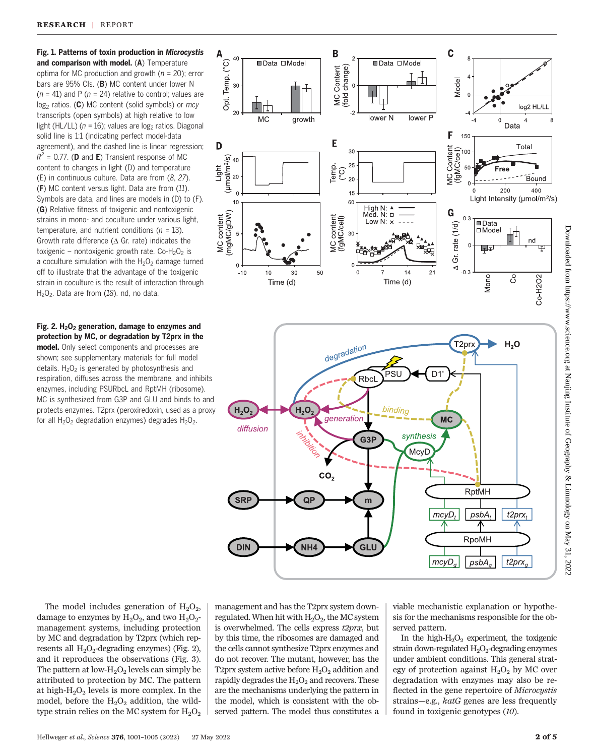Fig. 1. Patterns of toxin production in Microcystis and comparison with model. (A) Temperature optima for MC production and growth ( $n = 20$ ); error bars are 95% CIs. (B) MC content under lower N  $(n = 41)$  and P  $(n = 24)$  relative to control; values are  $log<sub>2</sub>$  ratios. (C) MC content (solid symbols) or mcy transcripts (open symbols) at high relative to low light (HL/LL) ( $n = 16$ ); values are log<sub>2</sub> ratios. Diagonal solid line is 1:1 (indicating perfect model-data agreement), and the dashed line is linear regression;  $R^2$  = 0.77. (**D** and **E**) Transient response of MC content to changes in light (D) and temperature (E) in continuous culture. Data are from (8, 27). (F) MC content versus light. Data are from (11). Symbols are data, and lines are models in (D) to (F). (G) Relative fitness of toxigenic and nontoxigenic strains in mono- and coculture under various light, temperature, and nutrient conditions ( $n = 13$ ). Growth rate difference ( $\Delta$  Gr. rate) indicates the toxigenic – nontoxigenic growth rate. Co- $H_2O_2$  is a coculture simulation with the  $H_2O_2$  damage turned off to illustrate that the advantage of the toxigenic strain in coculture is the result of interaction through  $H<sub>2</sub>O<sub>2</sub>$ . Data are from (18). nd, no data.

Fig. 2.  $H_2O_2$  generation, damage to enzymes and protection by MC, or degradation by T2prx in the model. Only select components and processes are shown; see supplementary materials for full model details.  $H_2O_2$  is generated by photosynthesis and respiration, diffuses across the membrane, and inhibits enzymes, including PSURbcL and RptMH (ribosome). MC is synthesized from G3P and GLU and binds to and protects enzymes. T2prx (peroxiredoxin, used as a proxy for all  $H_2O_2$  degradation enzymes) degrades  $H_2O_2$ .



The model includes generation of  $H_2O_2$ , damage to enzymes by  $H_2O_2$ , and two  $H_2O_2$ management systems, including protection by MC and degradation by T2prx (which represents all  $H_2O_2$ -degrading enzymes) (Fig. 2), and it reproduces the observations (Fig. 3). The pattern at low- $H_2O_2$  levels can simply be attributed to protection by MC. The pattern at high- $H_2O_2$  levels is more complex. In the model, before the  $H_2O_2$  addition, the wildtype strain relies on the MC system for  $H_2O_2$ 

management and has the T2prx system downregulated. When hit with  $H_2O_2$ , the MC system is overwhelmed. The cells express  $t2prx$ , but by this time, the ribosomes are damaged and the cells cannot synthesize T2prx enzymes and do not recover. The mutant, however, has the T2prx system active before  $H_2O_2$  addition and rapidly degrades the  $H_2O_2$  and recovers. These are the mechanisms underlying the pattern in the model, which is consistent with the observed pattern. The model thus constitutes a

viable mechanistic explanation or hypothesis for the mechanisms responsible for the observed pattern.

In the high- $H_2O_2$  experiment, the toxigenic strain down-regulated  $H_2O_2$ -degrading enzymes under ambient conditions. This general strategy of protection against  $H_2O_2$  by MC over degradation with enzymes may also be reflected in the gene repertoire of *Microcystis* strains—e.g., katG genes are less frequently found in toxigenic genotypes (10).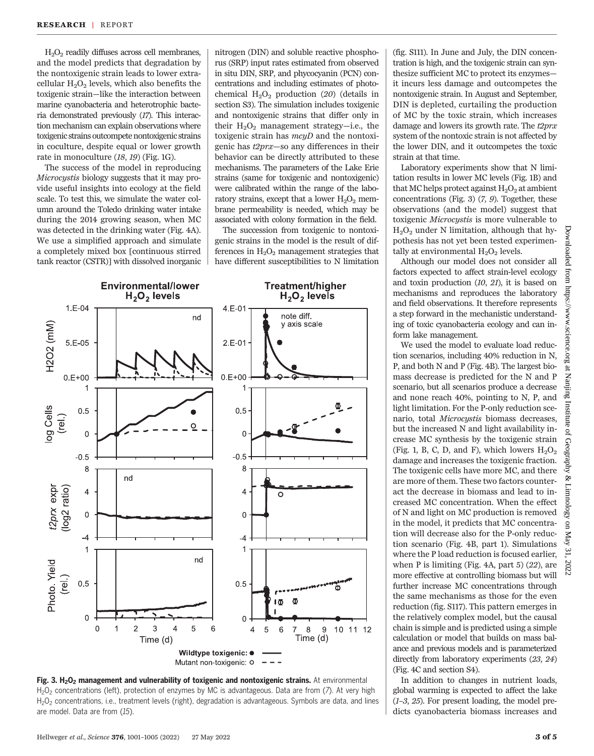$H<sub>2</sub>O<sub>2</sub>$  readily diffuses across cell membranes, and the model predicts that degradation by the nontoxigenic strain leads to lower extracellular  $H_2O_2$  levels, which also benefits the toxigenic strain—like the interaction between marine cyanobacteria and heterotrophic bacteria demonstrated previously (17). This interaction mechanism can explain observations where toxigenic strains outcompete nontoxigenic strains in coculture, despite equal or lower growth rate in monoculture (18, 19) (Fig. 1G).

The success of the model in reproducing Microcystis biology suggests that it may provide useful insights into ecology at the field scale. To test this, we simulate the water column around the Toledo drinking water intake during the 2014 growing season, when MC was detected in the drinking water (Fig. 4A). We use a simplified approach and simulate a completely mixed box [continuous stirred tank reactor (CSTR)] with dissolved inorganic

nitrogen (DIN) and soluble reactive phosphorus (SRP) input rates estimated from observed in situ DIN, SRP, and phycocyanin (PCN) concentrations and including estimates of photochemical  $H_2O_2$  production (20) (details in section S3). The simulation includes toxigenic and nontoxigenic strains that differ only in their  $H_2O_2$  management strategy-i.e., the toxigenic strain has  $mcyD$  and the nontoxigenic has t2prx—so any differences in their behavior can be directly attributed to these mechanisms. The parameters of the Lake Erie strains (same for toxigenic and nontoxigenic) were calibrated within the range of the laboratory strains, except that a lower  $H_2O_2$  membrane permeability is needed, which may be associated with colony formation in the field.

The succession from toxigenic to nontoxigenic strains in the model is the result of differences in  $H_2O_2$  management strategies that have different susceptibilities to N limitation





(fig. S111). In June and July, the DIN concentration is high, and the toxigenic strain can synthesize sufficient MC to protect its enzymes it incurs less damage and outcompetes the nontoxigenic strain. In August and September, DIN is depleted, curtailing the production of MC by the toxic strain, which increases damage and lowers its growth rate. The  $t2prx$ system of the nontoxic strain is not affected by the lower DIN, and it outcompetes the toxic strain at that time.

Laboratory experiments show that N limitation results in lower MC levels (Fig. 1B) and that MC helps protect against  $H_2O_2$  at ambient concentrations (Fig. 3) (7, 9). Together, these observations (and the model) suggest that toxigenic Microcystis is more vulnerable to  $H<sub>2</sub>O<sub>2</sub>$  under N limitation, although that hypothesis has not yet been tested experimentally at environmental  $H_2O_2$  levels.

Although our model does not consider all factors expected to affect strain-level ecology and toxin production (10, 21), it is based on mechanisms and reproduces the laboratory and field observations. It therefore represents a step forward in the mechanistic understanding of toxic cyanobacteria ecology and can inform lake management.

We used the model to evaluate load reduction scenarios, including 40% reduction in N, P, and both N and P (Fig. 4B). The largest biomass decrease is predicted for the N and P scenario, but all scenarios produce a decrease and none reach 40%, pointing to N, P, and light limitation. For the P-only reduction scenario, total *Microcustis* biomass decreases, but the increased N and light availability increase MC synthesis by the toxigenic strain (Fig. 1, B, C, D, and F), which lowers  $H_2O_2$ damage and increases the toxigenic fraction. The toxigenic cells have more MC, and there are more of them. These two factors counteract the decrease in biomass and lead to increased MC concentration. When the effect of N and light on MC production is removed in the model, it predicts that MC concentration will decrease also for the P-only reduction scenario (Fig. 4B, part 1). Simulations where the P load reduction is focused earlier, when P is limiting (Fig.  $4A$ , part  $5(22)$ , are more effective at controlling biomass but will further increase MC concentrations through the same mechanisms as those for the even reduction (fig. S117). This pattern emerges in the relatively complex model, but the causal chain is simple and is predicted using a simple calculation or model that builds on mass balance and previous models and is parameterized directly from laboratory experiments (23, 24) (Fig. 4C and section S4).

In addition to changes in nutrient loads, global warming is expected to affect the lake  $(1-3, 25)$ . For present loading, the model predicts cyanobacteria biomass increases and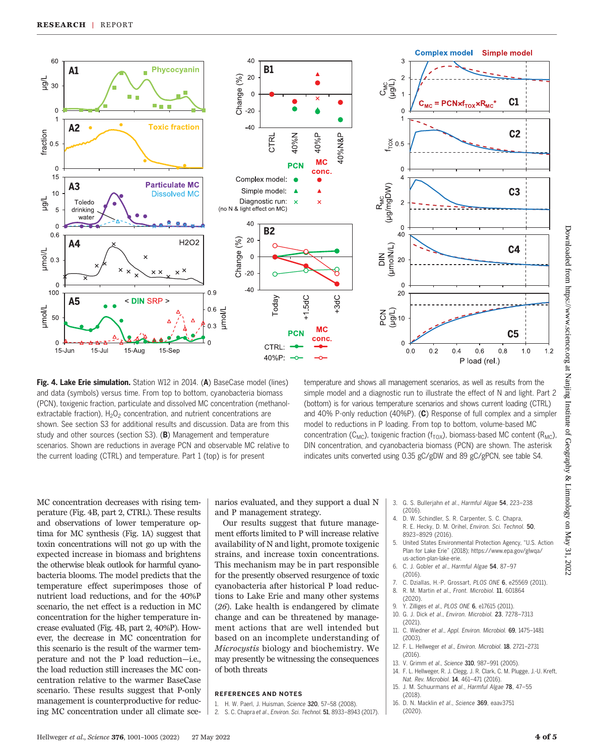

Fig. 4. Lake Erie simulation. Station W12 in 2014. (A) BaseCase model (lines) and data (symbols) versus time. From top to bottom, cyanobacteria biomass (PCN), toxigenic fraction, particulate and dissolved MC concentration (methanolextractable fraction),  $H_2O_2$  concentration, and nutrient concentrations are shown. See section S3 for additional results and discussion. Data are from this study and other sources (section S3). (B) Management and temperature scenarios. Shown are reductions in average PCN and observable MC relative to the current loading (CTRL) and temperature. Part 1 (top) is for present

temperature and shows all management scenarios, as well as results from the simple model and a diagnostic run to illustrate the effect of N and light. Part 2 (bottom) is for various temperature scenarios and shows current loading (CTRL) and 40% P-only reduction (40%P). (C) Response of full complex and a simpler model to reductions in P loading. From top to bottom, volume-based MC concentration ( $C_{MC}$ ), toxigenic fraction ( $f_{TOX}$ ), biomass-based MC content ( $R_{MC}$ ), DIN concentration, and cyanobacteria biomass (PCN) are shown. The asterisk indicates units converted using 0.35 gC/gDW and 89 gC/gPCN, see table S4.

MC concentration decreases with rising temperature (Fig. 4B, part 2, CTRL). These results and observations of lower temperature optima for MC synthesis (Fig. 1A) suggest that toxin concentrations will not go up with the expected increase in biomass and brightens the otherwise bleak outlook for harmful cyanobacteria blooms. The model predicts that the temperature effect superimposes those of nutrient load reductions, and for the 40%P scenario, the net effect is a reduction in MC concentration for the higher temperature increase evaluated (Fig. 4B, part 2, 40%P). However, the decrease in MC concentration for this scenario is the result of the warmer temperature and not the P load reduction—i.e., the load reduction still increases the MC concentration relative to the warmer BaseCase scenario. These results suggest that P-only management is counterproductive for reducing MC concentration under all climate sce-

narios evaluated, and they support a dual N and P management strategy.

Our results suggest that future management efforts limited to P will increase relative availability of N and light, promote toxigenic strains, and increase toxin concentrations. This mechanism may be in part responsible for the presently observed resurgence of toxic cyanobacteria after historical P load reductions to Lake Erie and many other systems (26). Lake health is endangered by climate change and can be threatened by management actions that are well intended but based on an incomplete understanding of Microcystis biology and biochemistry. We may presently be witnessing the consequences of both threats

#### REFERENCES AND NOTES

- 1. H. W. Paerl, J. Huisman, Science 320, 57–58 (2008).
- 2. S. C. Chapra et al., Environ. Sci. Technol. 51, 8933–8943 (2017).
- 3. G. S. Bullerjahn et al., Harmful Algae 54, 223–238 (2016).
- 4. D. W. Schindler, S. R. Carpenter, S. C. Chapra, R. E. Hecky, D. M. Orihel, Environ. Sci. Technol. 50, 8923–8929 (2016).
- 5. United States Environmental Protection Agency, "U.S. Action Plan for Lake Erie" (2018); [https://www.epa.gov/glwqa/](https://www.epa.gov/glwqa/us-action-plan-lake-erie) [us-action-plan-lake-erie](https://www.epa.gov/glwqa/us-action-plan-lake-erie).
- 6. C. J. Gobler et al., Harmful Algae 54, 87–97 (2016).
- 7. C. Dziallas, H.-P. Grossart, PLOS ONE 6, e25569 (2011). 8. R. M. Martin et al., Front. Microbiol. 11, 601864
- (2020).
- 9. Y. Zilliges et al., PLOS ONE 6, e17615 (2011).
- 10. G. J. Dick et al., Environ. Microbiol. 23, 7278–7313 (2021).
- 11. C. Wiedner et al., Appl. Environ. Microbiol. 69, 1475–1481 (2003).
- 12. F. L. Hellweger et al., Environ. Microbiol. 18, 2721–2731  $(2016)$
- 13. V. Grimm et al., Science 310, 987-991 (2005).
- 14. F. L. Hellweger, R. J. Clegg, J. R. Clark, C. M. Plugge, J.-U. Kreft, Nat. Rev. Microbiol. 14, 461–471 (2016).
- 15. J. M. Schuurmans et al., Harmful Algae 78, 47–55 (2018)
- 16. D. N. Macklin et al., Science 369, eaav3751 (2020).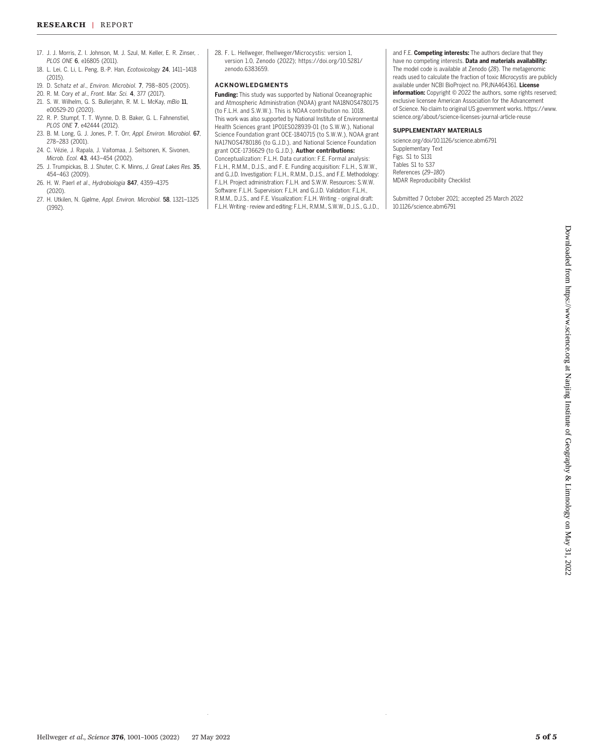- 17. J. J. Morris, Z. I. Johnson, M. J. Szul, M. Keller, E. R. Zinser, . PLOS ONE 6, e16805 (2011).
- 18. L. Lei, C. Li, L. Peng, B.-P. Han, Ecotoxicology 24, 1411–1418 (2015).
- 19. D. Schatz et al., Environ. Microbiol. 7, 798–805 (2005).
- 20. R. M. Cory et al., Front. Mar. Sci. 4, 377 (2017).
- 21. S. W. Wilhelm, G. S. Bullerjahn, R. M. L. McKay, mBio 11, e00529-20 (2020).
- 22. R. P. Stumpf, T. T. Wynne, D. B. Baker, G. L. Fahnenstiel, PLOS ONE 7, e42444 (2012).
- 23. B. M. Long, G. J. Jones, P. T. Orr, Appl. Environ. Microbiol. 67, 278–283 (2001).
- 24. C. Vézie, J. Rapala, J. Vaitomaa, J. Seitsonen, K. Sivonen, Microb. Ecol. 43, 443–454 (2002).
- 25. J. Trumpickas, B. J. Shuter, C. K. Minns, J. Great Lakes Res. 35, 454–463 (2009).
- 26. H. W. Paerl et al., Hydrobiologia 847, 4359–4375 (2020).
- 27. H. Utkilen, N. Gjølme, Appl. Environ. Microbiol. 58, 1321–1325 (1992).

28. F. L. Hellweger, fhellweger/Microcystis: version 1, version 1.0, Zenodo (2022); [https://doi.org/10.5281/](https://doi.org/10.5281/zenodo.6383659) [zenodo.6383659.](https://doi.org/10.5281/zenodo.6383659)

#### ACKNOWLEDGMENTS

Funding: This study was supported by National Oceanographic and Atmospheric Administration (NOAA) grant NA18NOS4780175 (to F.L.H. and S.W.W.). This is NOAA contribution no. 1018. This work was also supported by National Institute of Environmental Health Sciences grant 1P01ES028939-01 (to S.W.W.), National Science Foundation grant OCE-1840715 (to S.W.W.), NOAA grant NA17NOS4780186 (to G.J.D.), and National Science Foundation grant OCE-1736629 (to G.J.D.). Author contributions: Conceptualization: F.L.H. Data curation: F.E. Formal analysis: F.L.H., R.M.M., D.J.S., and F. E. Funding acquisition: F.L.H., S.W.W., and G.J.D. Investigation: F.L.H., R.M.M., D.J.S., and F.E. Methodology: F.L.H. Project administration: F.L.H. and S.W.W. Resources: S.W.W. Software: F.L.H. Supervision: F.L.H. and G.J.D. Validation: F.L.H., R.M.M., D.J.S., and F.E. Visualization: F.L.H. Writing - original draft: F.L.H. Writing - review and editing: F.L.H., R.M.M., S.W.W., D.J.S., G.J.D., and F.E. Competing interests: The authors declare that they have no competing interests. Data and materials availability: The model code is available at Zenodo (28). The metagenomic reads used to calculate the fraction of toxic Microcystis are publicly available under NCBI BioProject no. PRJNA464361. License information: Copyright @ 2022 the authors, some rights reserved; exclusive licensee American Association for the Advancement of Science. No claim to original US government works. [https://www.](https://www.science.org/content/page/science-licenses-journal-article-reuse) [science.org/about/science-licenses-journal-article-reuse](https://www.science.org/content/page/science-licenses-journal-article-reuse)

#### SUPPLEMENTARY MATERIALS

[science.org/doi/10.1126/science.abm6791](https://science.org/doi/10.1126/science.abm6791) Supplementary Text Figs. S1 to S131 Tables S1 to S37 References (29–180) MDAR Reproducibility Checklist

Submitted 7 October 2021; accepted 25 March 2022 10.1126/science.abm6791